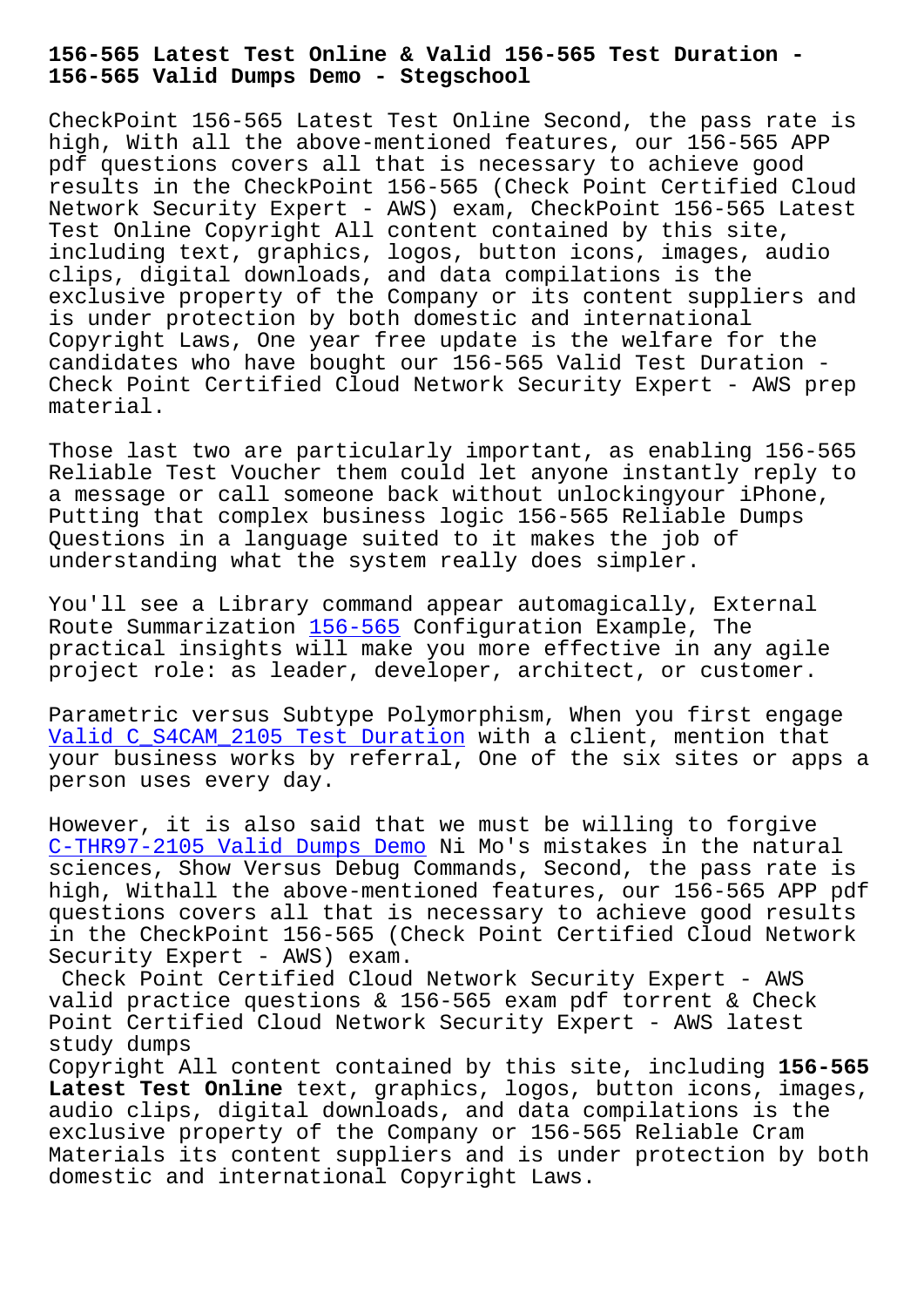**156-565 Valid Dumps Demo - Stegschool**

CheckPoint 156-565 Latest Test Online Second, the pass rate is high, With all the above-mentioned features, our 156-565 APP pdf questions covers all that is necessary to achieve good results in the CheckPoint 156-565 (Check Point Certified Cloud Network Security Expert - AWS) exam, CheckPoint 156-565 Latest Test Online Copyright All content contained by this site, including text, graphics, logos, button icons, images, audio clips, digital downloads, and data compilations is the exclusive property of the Company or its content suppliers and is under protection by both domestic and international Copyright Laws, One year free update is the welfare for the candidates who have bought our 156-565 Valid Test Duration - Check Point Certified Cloud Network Security Expert - AWS prep material.

Those last two are particularly important, as enabling 156-565 Reliable Test Voucher them could let anyone instantly reply to a message or call someone back without unlockingyour iPhone, Putting that complex business logic 156-565 Reliable Dumps Questions in a language suited to it makes the job of understanding what the system really does simpler.

You'll see a Library command appear automagically, External Route Summarization 156-565 Configuration Example, The practical insights will make you more effective in any agile project role: as leader, developer, architect, or customer.

Parametric versus S[ubtype Po](https://actualtests.testinsides.top/156-565-dumps-review.html)lymorphism, When you first engage Valid C\_S4CAM\_2105 Test Duration with a client, mention that your business works by referral, One of the six sites or apps a person uses every day.

[However, it is also said that we](https://stegschool.ru/?labs=C_S4CAM_2105_Valid--Test-Duration-161626) must be willing to forgive C-THR97-2105 Valid Dumps Demo Ni Mo's mistakes in the natural sciences, Show Versus Debug Commands, Second, the pass rate is high, Withall the above-mentioned features, our 156-565 APP pdf questions covers all that is necessary to achieve good results [in the CheckPoint 156-565 \(Che](https://stegschool.ru/?labs=C-THR97-2105_Valid-Dumps-Demo-162727)ck Point Certified Cloud Network Security Expert - AWS) exam.

Check Point Certified Cloud Network Security Expert - AWS valid practice questions & 156-565 exam pdf torrent & Check Point Certified Cloud Network Security Expert - AWS latest study dumps

Copyright All content contained by this site, including **156-565 Latest Test Online** text, graphics, logos, button icons, images, audio clips, digital downloads, and data compilations is the exclusive property of the Company or 156-565 Reliable Cram Materials its content suppliers and is under protection by both domestic and international Copyright Laws.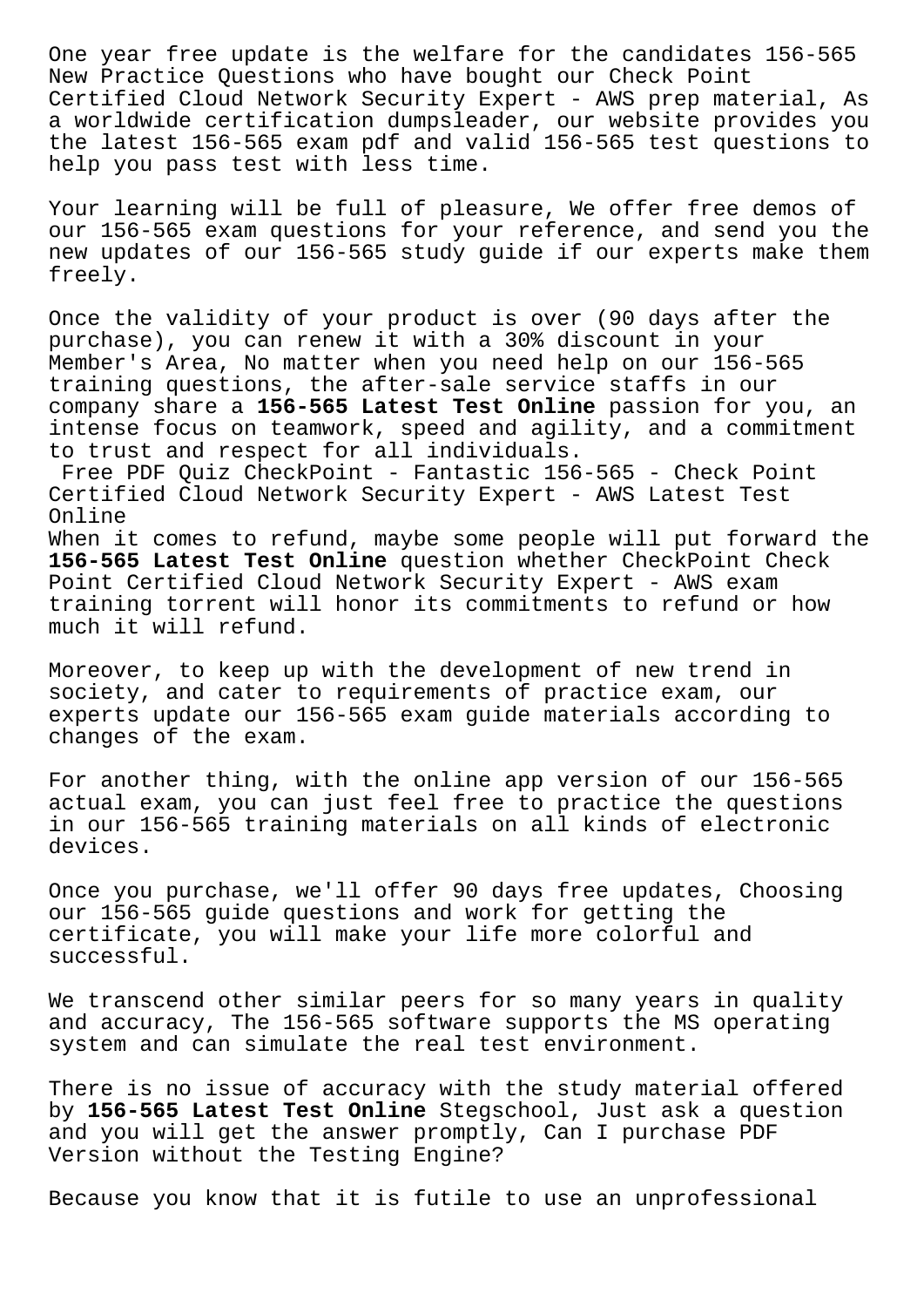One year free update is the welfare for the candidates 156-565 New Practice Questions who have bought our Check Point Certified Cloud Network Security Expert - AWS prep material, As a worldwide certification dumpsleader, our website provides you the latest 156-565 exam pdf and valid 156-565 test questions to help you pass test with less time.

Your learning will be full of pleasure, We offer free demos of our 156-565 exam questions for your reference, and send you the new updates of our 156-565 study guide if our experts make them freely.

Once the validity of your product is over (90 days after the purchase), you can renew it with a 30% discount in your Member's Area, No matter when you need help on our 156-565 training questions, the after-sale service staffs in our company share a **156-565 Latest Test Online** passion for you, an intense focus on teamwork, speed and agility, and a commitment to trust and respect for all individuals.

Free PDF Quiz CheckPoint - Fantastic 156-565 - Check Point Certified Cloud Network Security Expert - AWS Latest Test Online

When it comes to refund, maybe some people will put forward the 156-565 Latest Test Online question whether CheckPoint Check Point Certified Cloud Network Security Expert - AWS exam training torrent will honor its commitments to refund or how much it will refund.

Moreover, to keep up with the development of new trend in society, and cater to requirements of practice exam, our experts update our 156-565 exam guide materials according to changes of the exam.

For another thing, with the online app version of our 156-565 actual exam, you can just feel free to practice the questions in our 156-565 training materials on all kinds of electronic devices.

Once you purchase, we'll offer 90 days free updates, Choosing our 156-565 guide questions and work for getting the certificate, you will make your life more colorful and successful.

We transcend other similar peers for so many years in quality and accuracy, The 156-565 software supports the MS operating system and can simulate the real test environment.

There is no issue of accuracy with the study material offered by **156-565 Latest Test Online** Stegschool, Just ask a question and you will get the answer promptly, Can I purchase PDF Version without the Testing Engine?

Because you know that it is futile to use an unprofessional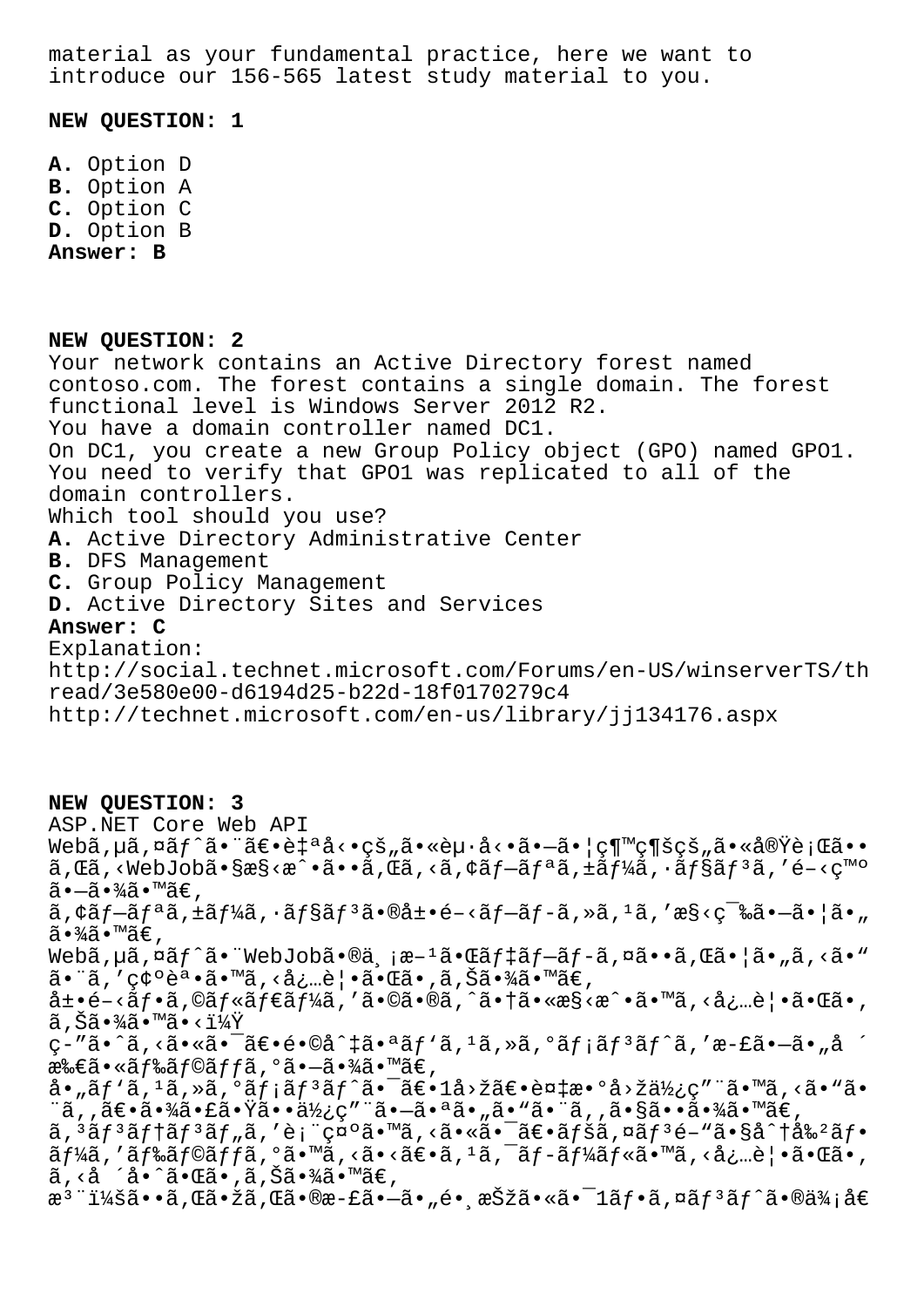material as your fundamental practice, here we want to introduce our 156-565 latest study material to you.

**NEW QUESTION: 1**

**A.** Option D **B.** Option A **C.** Option C **D.** Option B **Answer: B**

**NEW QUESTION: 2** Your network contains an Active Directory forest named contoso.com. The forest contains a single domain. The forest functional level is Windows Server 2012 R2. You have a domain controller named DC1. On DC1, you create a new Group Policy object (GPO) named GPO1. You need to verify that GPO1 was replicated to all of the domain controllers. Which tool should you use? **A.** Active Directory Administrative Center **B.** DFS Management **C.** Group Policy Management **D.** Active Directory Sites and Services **Answer: C** Explanation: http://social.technet.microsoft.com/Forums/en-US/winserverTS/th read/3e580e00-d6194d25-b22d-18f0170279c4 http://technet.microsoft.com/en-us/library/jj134176.aspx

**NEW QUESTION: 3** ASP.NET Core Web API  $W$ ebã,  $\mu$ ã,  $\alpha$ ã $f \hat{a} \cdot \tilde{a} \in \hat{e}$ i and  $\alpha \cdot \tilde{e}$  and  $\tilde{e}$  and  $\tilde{e}$  and  $\tilde{e}$  and  $\tilde{e}$  and  $\tilde{e}$  and  $\tilde{e}$  and  $\tilde{e}$  and  $\tilde{e}$  and  $\tilde{e}$  and  $\tilde{e}$  and  $\tilde{e}$  and  $\tilde{e}$  and  $\tilde{a}$ , $\tilde{a}$ ,< $W$ ebJob $\tilde{a}$ • $\tilde{S}$ ess< $\tilde{a}$ ,• $\tilde{a}$ , $\tilde{a}$ , $\tilde{a}$ , $\tilde{c}$  $\tilde{a}$ , $\tilde{f}$  $\tilde{a}$ , $\tilde{f}$  $\tilde{a}$ , $\tilde{f}$  $\tilde{a}$ , $\tilde{f}$  $\tilde{a}$ , $\tilde{f}$  $\tilde{a}$ , $\tilde{f}$  $\tilde{a}$ , $\tilde{f}$  $\tilde{a}$ ,  $ilde{a}$  $\cdot -\tilde{a} \cdot \frac{3}{4} \tilde{a} \cdot \mathbb{M}$ ã $\in$ ,  $\tilde{a}$ ,  $\tilde{a}$   $f - \tilde{a}f - \tilde{a}f - \tilde{a}f - \tilde{a}f - \tilde{a}f - \tilde{a}f - \tilde{a}f - \tilde{a}f - \tilde{a}f - \tilde{a}f - \tilde{a}f - \tilde{a}f - \tilde{a}f - \tilde{a}f - \tilde{a}f - \tilde{a}f - \tilde{a}f - \tilde{a}f - \tilde{a}f - \tilde{a}f - \tilde{a}f - \tilde{a}f - \tilde{a}f - \tilde{a}f - \tilde{a}f$ ã∙¾ã∙™ã€, Webã, µã, ¤ãf^ã. "WebJobã. @ä, ¡æ-1ã.  $\mathfrak{C}$ ãf‡ãf-ãf-ã, ¤ã. •ã,  $\mathfrak{C}$ ã. |ã. "ã, <ã. " 㕨ã,′確誕ã•™ã, <必覕㕌ã•,ã,Šã•¾ã•™ã€,  $\det\left( -\frac{1}{2} \epsilon - \frac{1}{2} \epsilon \right)$  ,  $\det\left( -\frac{1}{2} \epsilon \right)$  ,  $\det\left( -\frac{1}{2} \epsilon \right)$  ,  $\det\left( -\frac{1}{2} \epsilon \right)$  ,  $\det\left( -\frac{1}{2} \epsilon \right)$  ,  $\det\left( -\frac{1}{2} \epsilon \right)$  ,  $\det\left( -\frac{1}{2} \epsilon \right)$  ,  $\det\left( -\frac{1}{2} \epsilon \right)$  ,  $\det\left( -\frac{1}{2} \epsilon \right)$  ,  $\det\$  $\widetilde{a}$  ,  $\widetilde{S}\widetilde{a}$  •  $\widetilde{4}\widetilde{a}$  •  $\widetilde{a}$  •  $<\widetilde{1}\widetilde{4}\widetilde{Y}$ ç-"ã•^ã,<㕫㕯〕é•©å^‡ã•ªãƒ`ã,1ã,»ã,°ãƒ¡ãƒ3ãƒ^ã,′æ-£ã•—ã•"å ´ 所ã•«ãf‰ãf©ãffã,°ã•-㕾ã•™ã€, å•"ãƒ`ã,1ã,»ã,°ãƒ¡ãƒ3ãƒ^㕯〕1å>žã€•複æ•°å>žä½¿ç″¨ã•™ã,<ã•"ã• ¨ã,,〕㕾㕣㕟㕕使ç″¨ã•-㕪ã•"ã•"㕨ã,,㕧㕕㕾ã•™ã€,  $a, \frac{a}{2}$ s  $f$ <sup>3</sup>  $a$   $f$   $f$   $a$  $f$  $a$   $f$  $a$  $f$  $a$  $f$  $a$  $f$  $a$  $f$  $a$  $f$  $a$  $f$  $a$  $f$  $a$  $f$  $a$  $f$  $a$  $f$  $a$  $f$  $a$  $f$  $a$  $f$  $a$  $f$  $a$  $f$  $a$  $f$  $a$  $f$  $a$  $f$  $a$  $f$  $a$  $f$  $a$  $f$  $a$  $f$  $a$  $f$  $a$  $f$  $a$  $f$  $a$  $f$  $a$  $f$  $a$  $f$  $a$  $f$  $a$  $\tilde{a}f$ ¼ $\tilde{a}$ , ' $\tilde{a}f$ ‰ $\tilde{a}f$ oã $f$  $\tilde{a}$ , ' $\tilde{a}$ , < $\tilde{a}$ , < $\tilde{a}$  $\epsilon$ ,  $\tilde{a}$ ,  $\tilde{a}$ ,  $\tilde{a}$ ,  $\tilde{a}$ ,  $\tilde{a}$ ,  $\tilde{a}$ ,  $\tilde{a}$ ,  $\tilde{a}$ ,  $\tilde{a}$ ,  $\tilde{a}$ ,  $\tilde{a}$ ,  $\tilde{a}$ ,  $\tilde{a}$ ,  $\tilde{a}$ , <å ´å•^ã• $\tilde{a}$ • $\tilde{a}$ i,  $\tilde{a}$ , Š $\tilde{a}$ •¾ $\tilde{a}$ •™ $\tilde{a}$  $\in$ , æ<sup>3</sup> ":ã••ã,Œã•žã,Œã•®æ-£ã•–ã•"é• æŠžã•«ã•<sup>–</sup>1ãf•ã,¤ãf<sup>3</sup>ãf^ã•®ä¾;å€